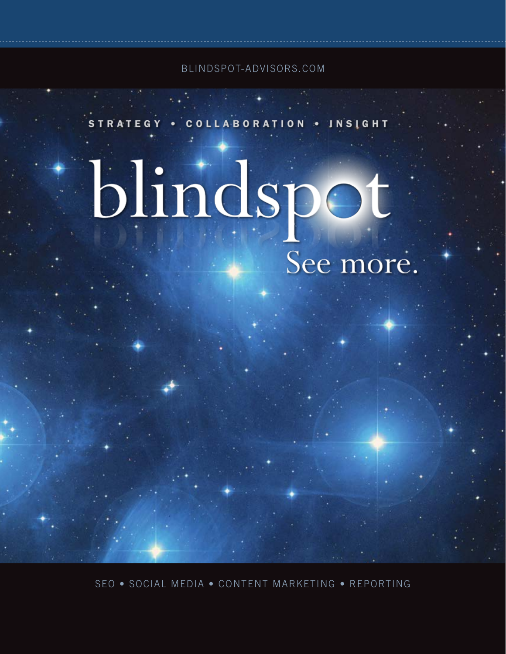BLINDSPOT-ADVISORS.COM

STRATEGY . COLLABORATION . INSIGHT

# blindspot See more.

SEO • SOCIAL MEDIA • CONTENT MARKETING • REPORTING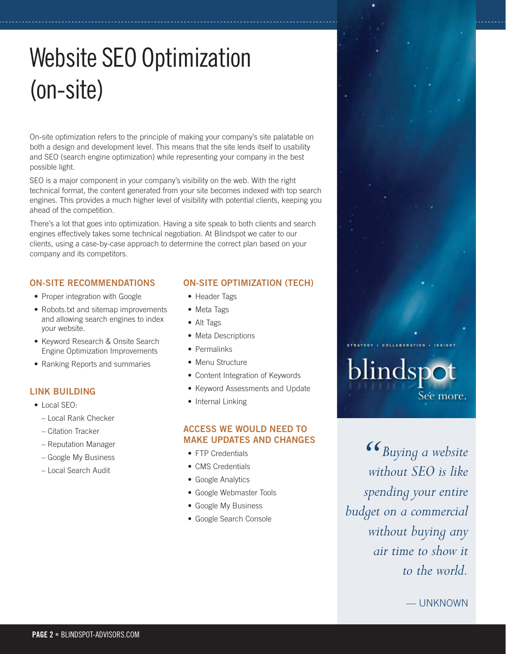# Website SEO Optimization (on-site)

On-site optimization refers to the principle of making your company's site palatable on both a design and development level. This means that the site lends itself to usability and SEO (search engine optimization) while representing your company in the best possible light.

SEO is a major component in your company's visibility on the web. With the right technical format, the content generated from your site becomes indexed with top search engines. This provides a much higher level of visibility with potential clients, keeping you ahead of the competition.

There's a lot that goes into optimization. Having a site speak to both clients and search engines effectively takes some technical negotiation. At Blindspot we cater to our clients, using a case-by-case approach to determine the correct plan based on your company and its competitors.

# **ON-SITE RECOMMENDATIONS**

- Proper integration with Google
- Robots.txt and sitemap improvements and allowing search engines to index your website.
- Keyword Research & Onsite Search Engine Optimization Improvements
- Ranking Reports and summaries

# **LINK BUILDING**

- Local SEO:
	- Local Rank Checker
	- Citation Tracker
	- Reputation Manager
	- Google My Business
	- Local Search Audit

# **ON-SITE OPTIMIZATION (TECH)**

- Header Tags
- Meta Tags
- Alt Tags
- Meta Descriptions
- Permalinks
- Menu Structure
- Content Integration of Keywords
- Keyword Assessments and Update
- Internal Linking

# **ACCESS WE WOULD NEED TO MAKE UPDATES AND CHANGES**

- FTP Credentials
- CMS Credentials
- Google Analytics
- Google Webmaster Tools
- Google My Business
- Google Search Console

*Buying a website without SEO is like spending your entire budget on a commercial without buying any air time to show it to the world.*  $\frac{66}{1}$  wit

blindspot

See more.

— UNKNOWN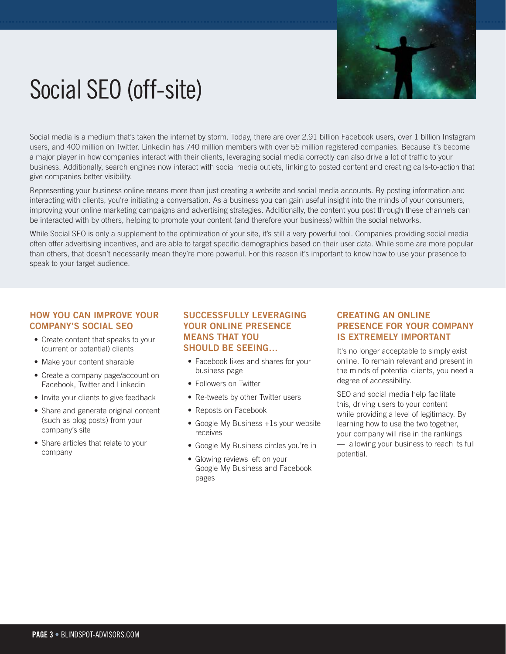

# Social SEO (off-site)

Social media is a medium that's taken the internet by storm. Today, there are over 2.91 billion Facebook users, over 1 billion Instagram users, and 400 million on Twitter. Linkedin has 740 million members with over 55 million registered companies. Because it's become a major player in how companies interact with their clients, leveraging social media correctly can also drive a lot of traffic to your business. Additionally, search engines now interact with social media outlets, linking to posted content and creating calls-to-action that give companies better visibility.

Representing your business online means more than just creating a website and social media accounts. By posting information and interacting with clients, you're initiating a conversation. As a business you can gain useful insight into the minds of your consumers, improving your online marketing campaigns and advertising strategies. Additionally, the content you post through these channels can be interacted with by others, helping to promote your content (and therefore your business) within the social networks.

While Social SEO is only a supplement to the optimization of your site, it's still a very powerful tool. Companies providing social media often offer advertising incentives, and are able to target specific demographics based on their user data. While some are more popular than others, that doesn't necessarily mean they're more powerful. For this reason it's important to know how to use your presence to speak to your target audience.

### **HOW YOU CAN IMPROVE YOUR COMPANY'S SOCIAL SEO**

- Create content that speaks to your (current or potential) clients
- Make your content sharable
- Create a company page/account on Facebook, Twitter and Linkedin
- Invite your clients to give feedback
- Share and generate original content (such as blog posts) from your company's site
- Share articles that relate to your company

### **SUCCESSFULLY LEVERAGING YOUR ONLINE PRESENCE MEANS THAT YOU SHOULD BE SEEING…**

- Facebook likes and shares for your business page
- Followers on Twitter
- Re-tweets by other Twitter users
- Reposts on Facebook
- Google My Business +1s your website receives
- Google My Business circles you're in
- Glowing reviews left on your Google My Business and Facebook pages

# **CREATING AN ONLINE PRESENCE FOR YOUR COMPANY IS EXTREMELY IMPORTANT**

It's no longer acceptable to simply exist online. To remain relevant and present in the minds of potential clients, you need a degree of accessibility.

SEO and social media help facilitate this, driving users to your content while providing a level of legitimacy. By learning how to use the two together, your company will rise in the rankings — allowing your business to reach its full potential.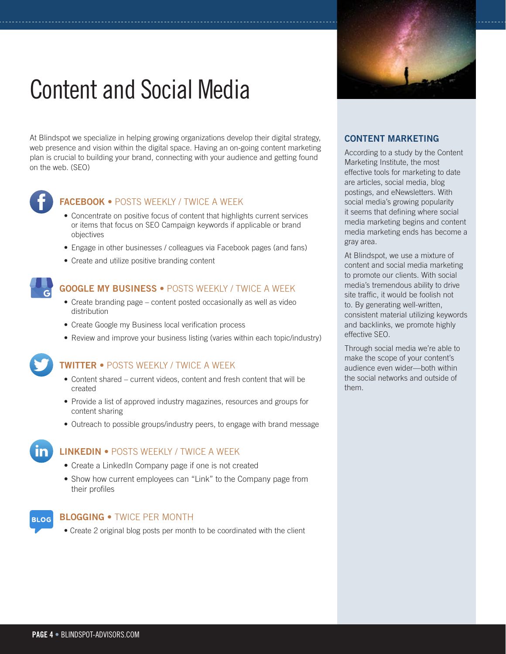# Content and Social Media

At Blindspot we specialize in helping growing organizations develop their digital strategy, web presence and vision within the digital space. Having an on-going content marketing plan is crucial to building your brand, connecting with your audience and getting found on the web. (SEO)



# **FACEBOOK** • POSTS WEEKLY / TWICE A WEEK

- Concentrate on positive focus of content that highlights current services or items that focus on SEO Campaign keywords if applicable or brand objectives
- Engage in other businesses / colleagues via Facebook pages (and fans)
- Create and utilize positive branding content



# **GOOGLE MY BUSINESS** • POSTS WEEKLY / TWICE A WEEK

- Create branding page content posted occasionally as well as video distribution
- Create Google my Business local verification process
- Review and improve your business listing (varies within each topic/industry)

# **TWITTER** • POSTS WEEKLY / TWICE A WEEK

- Content shared current videos, content and fresh content that will be created
- Provide a list of approved industry magazines, resources and groups for content sharing
- Outreach to possible groups/industry peers, to engage with brand message

# **LINKEDIN** • POSTS WEEKLY / TWICE A WEEK

- Create a LinkedIn Company page if one is not created
- Show how current employees can "Link" to the Company page from their profiles



#### **BLOGGING •** TWICE PER MONTH

• Create 2 original blog posts per month to be coordinated with the client

### **CONTENT MARKETING**

According to a study by the Content Marketing Institute, the most effective tools for marketing to date are articles, social media, blog postings, and eNewsletters. With social media's growing popularity it seems that defining where social media marketing begins and content media marketing ends has become a gray area.

At Blindspot, we use a mixture of content and social media marketing to promote our clients. With social media's tremendous ability to drive site traffic, it would be foolish not to. By generating well-written, consistent material utilizing keywords and backlinks, we promote highly effective SEO.

Through social media we're able to make the scope of your content's audience even wider—both within the social networks and outside of them.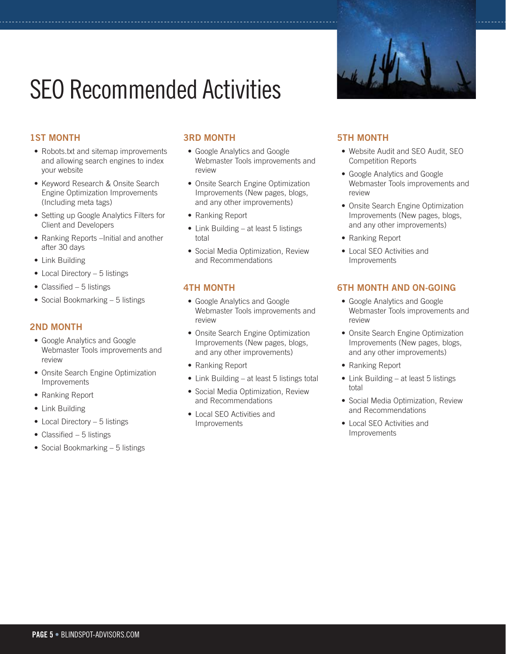# SEO Recommended Activities

# **1ST MONTH**

- Robots.txt and sitemap improvements and allowing search engines to index your website
- Keyword Research & Onsite Search Engine Optimization Improvements (Including meta tags)
- Setting up Google Analytics Filters for Client and Developers
- Ranking Reports –Initial and another after 30 days
- Link Building
- Local Directory 5 listings
- Classified 5 listings
- Social Bookmarking 5 listings

# **2ND MONTH**

- Google Analytics and Google Webmaster Tools improvements and review
- Onsite Search Engine Optimization Improvements
- Ranking Report
- Link Building
- Local Directory 5 listings
- Classified  $-5$  listings
- Social Bookmarking 5 listings

# **3RD MONTH**

- Google Analytics and Google Webmaster Tools improvements and review
- Onsite Search Engine Optimization Improvements (New pages, blogs, and any other improvements)
- Ranking Report
- Link Building at least 5 listings total
- Social Media Optimization, Review and Recommendations

# **4TH MONTH**

- Google Analytics and Google Webmaster Tools improvements and review
- Onsite Search Engine Optimization Improvements (New pages, blogs, and any other improvements)
- Ranking Report
- Link Building at least 5 listings total
- Social Media Optimization, Review and Recommendations
- Local SEO Activities and Improvements



# **5TH MONTH**

- Website Audit and SEO Audit, SEO Competition Reports
- Google Analytics and Google Webmaster Tools improvements and review
- Onsite Search Engine Optimization Improvements (New pages, blogs, and any other improvements)
- Ranking Report
- Local SEO Activities and Improvements

# **6TH MONTH AND ON-GOING**

- Google Analytics and Google Webmaster Tools improvements and review
- Onsite Search Engine Optimization Improvements (New pages, blogs, and any other improvements)
- Ranking Report
- Link Building at least 5 listings total
- Social Media Optimization, Review and Recommendations
- Local SEO Activities and Improvements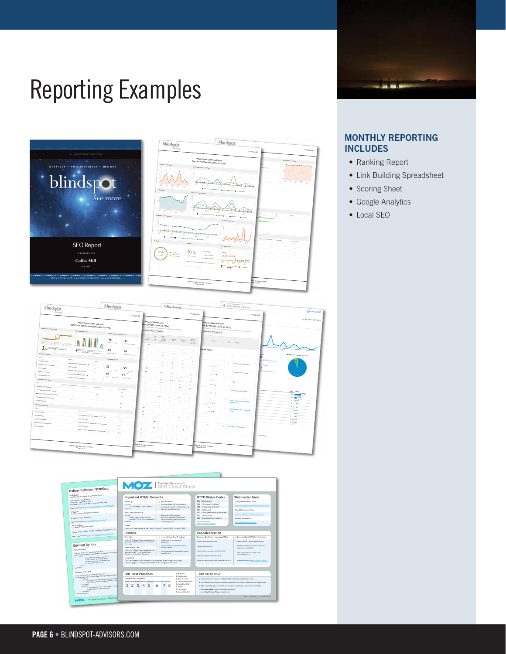# Reporting Examples





### **MONTHLY REPORTING INCLUDES**

**Contractor** 

- Ranking Report
- Link Building Spreadsheet
- Scoring Sheet
- Google Analytics
- Local SEO

| blindspor                                                                                                                                                                                                                                                                                                                                                                                                                                                                                                          | blindspot                                                                                                                                                                                                                                                      | <b>Islingham's</b>                                                               |                                                                                                                                                            |                                     |                                                           |                         |                                  | http://www.coller.coll.com<br>www.coffee-mill.com                                                                                                                                                   |                                                                                                                                                                                                                     |                                                                        |                                                                        |
|--------------------------------------------------------------------------------------------------------------------------------------------------------------------------------------------------------------------------------------------------------------------------------------------------------------------------------------------------------------------------------------------------------------------------------------------------------------------------------------------------------------------|----------------------------------------------------------------------------------------------------------------------------------------------------------------------------------------------------------------------------------------------------------------|----------------------------------------------------------------------------------|------------------------------------------------------------------------------------------------------------------------------------------------------------|-------------------------------------|-----------------------------------------------------------|-------------------------|----------------------------------|-----------------------------------------------------------------------------------------------------------------------------------------------------------------------------------------------------|---------------------------------------------------------------------------------------------------------------------------------------------------------------------------------------------------------------------|------------------------------------------------------------------------|------------------------------------------------------------------------|
| <b>Stationary</b>                                                                                                                                                                                                                                                                                                                                                                                                                                                                                                  |                                                                                                                                                                                                                                                                | 715-554-2460                                                                     |                                                                                                                                                            |                                     |                                                           |                         |                                  | 715-554-2460                                                                                                                                                                                        |                                                                                                                                                                                                                     |                                                                        | <b>ENO TO ASPORT</b><br>715-554-3460                                   |
| https://www.coffee-mill.com<br>RANK TRACIONG SUMMARY (JUNE 30, 2018)<br>Amuga Europa Product Trans<br><b>Renting Jacobsharing Rds</b>                                                                                                                                                                                                                                                                                                                                                                              |                                                                                                                                                                                                                                                                |                                                                                  | Www.coffee-mill.com<br>MGS (BRIEF) (JUNE 30, 2018)<br>It keywouds and their position on Aparch angion results pages.<br>and with the Fession of 2018-00-21 |                                     |                                                           |                         |                                  |                                                                                                                                                                                                     | M/www.coffee-mill.com<br><b>BS</b> (DETAILED) (JUNE 30, 2018)<br>$\kappa(\sigma_{\rm eff})_{\rm 0.014\,GHz}$ and the DM and the maximum of the parties of $g_{\rm 0.01\,MHz}$<br>and with the results of 2018-0p-21 |                                                                        | Jun 10, 2018 - Jul 9, 2018                                             |
| $\label{eq:1} \begin{array}{ll} \Gamma_{\rm{G}}\propto N_{\rm{H}}\propto \ln\Omega\left(P_{\rm{H}}\propto P_{\rm{H}}\right) \propto \Gamma_{\rm{H}}\propto \ln\Omega\left(P_{\rm{H}}\propto P_{\rm{H}}\right) \propto \Gamma_{\rm{H}}\propto \ln\Omega\left(P_{\rm{H}}\propto P_{\rm{H}}\right) \propto \Gamma_{\rm{H}}\propto \Gamma_{\rm{H}}\propto \Gamma_{\rm{H}}\propto \Gamma_{\rm{H}}\propto \Gamma_{\rm{H}}\propto \Gamma_{\rm{H}}\propto \Gamma_{\rm{H}}\pro$                                             | 46<br><b>Institutional Control</b>                                                                                                                                                                                                                             | <b>Analyses Compared M20 Preferenting</b><br>41<br><b>Depressional Publicans</b> | Mounts,<br>max <sub>h</sub><br>1,80                                                                                                                        | str3                                | ok.<br>Minn <sub>ess</sub><br><b><i><u>FARMER</u></i></b> |                         | $\frac{1}{2}$ the contract of    | $\begin{array}{l} \displaystyle \limsup_{t\rightarrow \infty} \alpha_0\\ \displaystyle \liminf_{t\rightarrow \infty} \alpha_0\\ \displaystyle \qquad \qquad \infty. \end{array}$<br><b>Postmany</b> | Prestone                                                                                                                                                                                                            | $z_{\rm CO}$<br>Nakanga                                                |                                                                        |
| $\begin{array}{l} \mathbf{B}_{\mathcal{M}_{\mathcal{M}}\mathcal{M}\mathcal{M}_{\mathcal{M}_{\mathcal{M}}\mathcal{M}_{\mathcal{M}_{\mathcal{M}_{\mathcal{M}}}}}}\mathbf{g}_{\mathcal{M}_{\mathcal{M}_{\mathcal{M}_{\mathcal{M}}\mathcal{M}_{\mathcal{M}_{\mathcal{M}_{\mathcal{M}}}}}}\mathbf{g}_{\mathcal{M}_{\mathcal{M}_{\mathcal{M}_{\mathcal{M}_{\mathcal{M}}\mathcal{M}_{\mathcal{M}_{\mathcal{M}_{\mathcal{M}}}}}}}}\mathbf{g}_{\mathcal{M}_{\mathcal{M}_{\mathcal{M}_{\mathcal$<br><b>Mark Linksdormann</b> | 15<br><b>Mark Carl Ltd., In British Carl Ltd., Inc., Inc., Inc., Inc., Inc., Inc., Inc., Inc., Inc., Inc., Inc., Inc., Inc., Inc., Inc., Inc., Inc., Inc., Inc., Inc., Inc., Inc., Inc., Inc., Inc., Inc., Inc., Inc., Inc., Inc., Inc</b><br>Address of Japan | 24<br>Großpartingen GE bergen                                                    |                                                                                                                                                            |                                     | ×<br>$W_{1,1}$                                            | $2 + 1$                 | $z_{d,n}$<br>$2 + 1$             | ×<br>×                                                                                                                                                                                              | <b>Mailed States</b>                                                                                                                                                                                                |                                                                        | $-22$<br>$\overline{a}$<br><b>Rice Value &amp; Report &amp; Valley</b> |
| <b><i><u>Report and your</u></i></b><br><b>Call on Add S<sub>epples</sub></b><br><b>September (2014)</b> Addressed Man. (B)<br><b>Los Im<sub>s</sub> Colle<sub>r</sub> Text Country</b><br>2 <sup>8</sup> Services<br><b>Office Engine</b>                                                                                                                                                                                                                                                                         | <b><i>Emaps braing Praise</i></b><br>man.<br>$\mathbf{r}$<br>G                                                                                                                                                                                                 | Y                                                                                | 44.6 <sub>50</sub>                                                                                                                                         |                                     | ×<br>$\lambda$<br>Bay.                                    | $\lambda$<br>$\lambda$  | ٠.<br>×.<br>$2 + 1$<br>$4 + 1$   | 1.1<br>×.<br>$\mathbf{r}$                                                                                                                                                                           | ×<br>$\ldots$ /www.                                                                                                                                                                                                 | <b>CONTRACTOR</b>                                                      | <b>Zessu</b>                                                           |
| <b>Employmentally Administrations</b><br><b>Scientistory and</b><br><b>Different plus Membership</b><br>Carrier Call an University<br>$2$ density can be at $\omega_{\rm{shock\,Bogon}}$ .                                                                                                                                                                                                                                                                                                                         | $2 +$<br>-<br>$\epsilon$<br>$10^{-1}$<br>$\mathcal{F}$<br><b>Derek entrieste dean</b><br>$10 - 1$                                                                                                                                                              | 11<br><b>Tehnamistan</b>                                                         | si.                                                                                                                                                        |                                     | $v_{1}$<br>$\ddot{\phantom{1}}$                           | $\mathbf{u}$<br>$4 + 1$ | $\sim$<br>$3 + 2$                | $27 +$<br>$\sim$                                                                                                                                                                                    | ×<br>$\cdots$                                                                                                                                                                                                       |                                                                        |                                                                        |
| Top Editionals by Earth ago.<br><b>Artas (450)</b> , Alterni <sub>polis, Massachi, antari, 21</sub><br><b>Army Collins Cadillac pages 100</b>                                                                                                                                                                                                                                                                                                                                                                      | <b>Telefon com Sales</b>                                                                                                                                                                                                                                       | <b>Showing</b>                                                                   |                                                                                                                                                            |                                     | 14.5<br>$38 - q$<br>×<br>٠                                | $44 + 3$<br>$4 + 3$     | $27 + 14$<br>A.L<br>$\mathbf{a}$ | 10 <sup>2</sup><br>-8.42<br>Palus.                                                                                                                                                                  | $30 + 1$<br>and Primar<br>л.                                                                                                                                                                                        | ×.<br><b>Office</b>                                                    |                                                                        |
| <b>Search London Land as Twin Class Mar</b><br>×.<br><b>Send Sept Cop College State of Lain Clean Ma</b><br>×.<br><b>Branch Rooms Suppliers Tracker Children, Addit</b>                                                                                                                                                                                                                                                                                                                                            | <b>COLLECTION</b><br>$(2 + 1)$<br>×                                                                                                                                                                                                                            | $24 +$<br>$2 + 1$                                                                |                                                                                                                                                            |                                     | $36 + 6$                                                  | ×<br>×<br>$3 + 1$       | ٠<br>$7 + 3$                     | $\mathbf{r}$<br>×.<br>٠.                                                                                                                                                                            | $-$<br>$\rightarrow$                                                                                                                                                                                                | $\mathbf{I}$<br><b>Important contract makes</b>                        | Days Stown<br>272 March 44155<br><b>100 00 27.50%</b>                  |
| 1.11<br><b>Distances Income</b><br>×.<br><b>De Wassie Kevra</b>                                                                                                                                                                                                                                                                                                                                                                                                                                                    | $\overline{z}$                                                                                                                                                                                                                                                 | ×<br>$4 + 3$<br>26.6                                                             | $\sim$<br>1,600                                                                                                                                            | ٠                                   | ٠<br>×.<br>×.                                             |                         | ×                                | 2.2<br>л.                                                                                                                                                                                           | $\label{eq:reduced} \ldots, \ldots, \ldots, \ldots, \ldots$<br>3.4.3                                                                                                                                                | <b>Advertise service to</b><br><b>Marine</b><br><b><i>Allengen</i></b> | <sup>14</sup>   330 <sub>%</sub><br>$4 + 142$<br>5   10m               |
| <b>Search August</b><br><b>Maximus</b><br><b>Read Office College Address</b>                                                                                                                                                                                                                                                                                                                                                                                                                                       | $2^{\frac{1}{2}\log_{\rm BPSM}(\chi_{\rm DM})}$ united balance are and the                                                                                                                                                                                     | Poster<br>2.126                                                                  | $\sim$<br>260                                                                                                                                              |                                     |                                                           |                         | $2 + 4$                          | $\sim$                                                                                                                                                                                              | $\sim$                                                                                                                                                                                                              | <b>Sea Mary all La</b><br>---                                          | $3 + 0$ rm<br>3/67<br>$7$ $1$ $0.675$<br>$2 + 0.475$                   |
| Carrier Catherine Taiw Chinana<br><b>Zingmmage</b>                                                                                                                                                                                                                                                                                                                                                                                                                                                                 | Georgia com (All Al) - Miritangello, Adonnazio, Interaliativa<br>$\delta m \phi \lambda_{\rm diff}$ and $\delta m_{\rm target}$ . Advertising the particles of $\frac{1}{2}$                                                                                   | 4.14<br>$16 + 10$<br>6.11                                                        | $\mathbf{z}$                                                                                                                                               | $8 - 14$<br>٠<br>٠<br>$\rightarrow$ |                                                           |                         | ×<br>×<br>۰.<br>- 11             | ×                                                                                                                                                                                                   | 27 <sub>0</sub>                                                                                                                                                                                                     | $\mathbf{x}$<br><b>AMCARDINAMIAN</b>                                   | $1 + 424$                                                              |
|                                                                                                                                                                                                                                                                                                                                                                                                                                                                                                                    |                                                                                                                                                                                                                                                                | 6.1                                                                              | $\epsilon_{\rm m}$<br><b>COL</b>                                                                                                                           | $\mathbf{r}$                        | ×.                                                        | $\mathbf{r}$            | $\,$ $\,$                        |                                                                                                                                                                                                     |                                                                                                                                                                                                                     |                                                                        | 0.2018 Drugle                                                          |
| Report Created by Julie Johnson<br>Page 4 of S7                                                                                                                                                                                                                                                                                                                                                                                                                                                                    |                                                                                                                                                                                                                                                                |                                                                                  | If Created by Julie Johnson<br>Page 6 of 57                                                                                                                |                                     |                                                           |                         |                                  |                                                                                                                                                                                                     | Created by Julie Johnson<br>Page 10 of S7                                                                                                                                                                           |                                                                        |                                                                        |